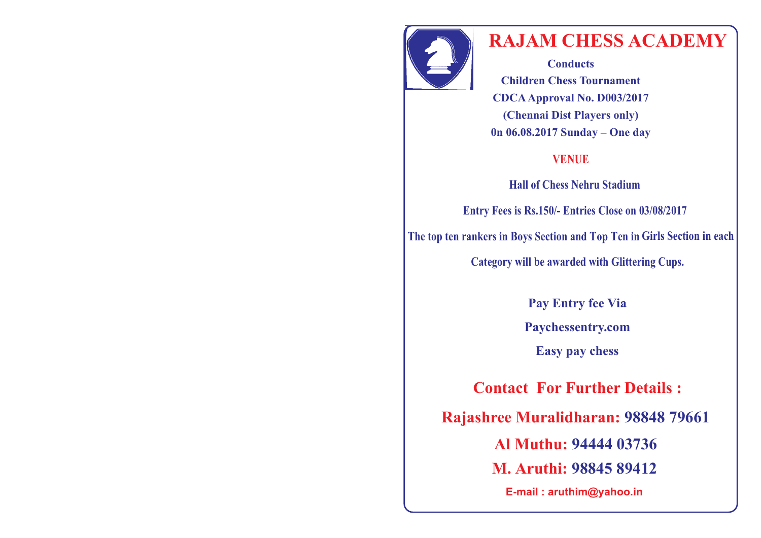

## **RAJAM CHESS ACADEMY**

**Conducts Children Chess Tournament CDCAApproval No. D003/2017 (Chennai Dist Players only) 0n 06.08.2017 Sunday – One day**

## **VENUE**

**Hall of Chess Nehru Stadium**

**Entry Fees is Rs.150/- Entries Close on 03/08/2017** 

**The top ten rankers in Boys Section and Top Ten in Girls Section in each** 

**Category will be awarded with Glittering Cups.**

**Pay Entry fee Via Paychessentry.com Easy pay chess**

**Contact For Further Details :**

**98848 79661 Rajashree Muralidharan:** 

 **94444 03736 Al Muthu:**

 **M. Aruthi: 98845 89412** 

**E-mail : aruthim@yahoo.in**